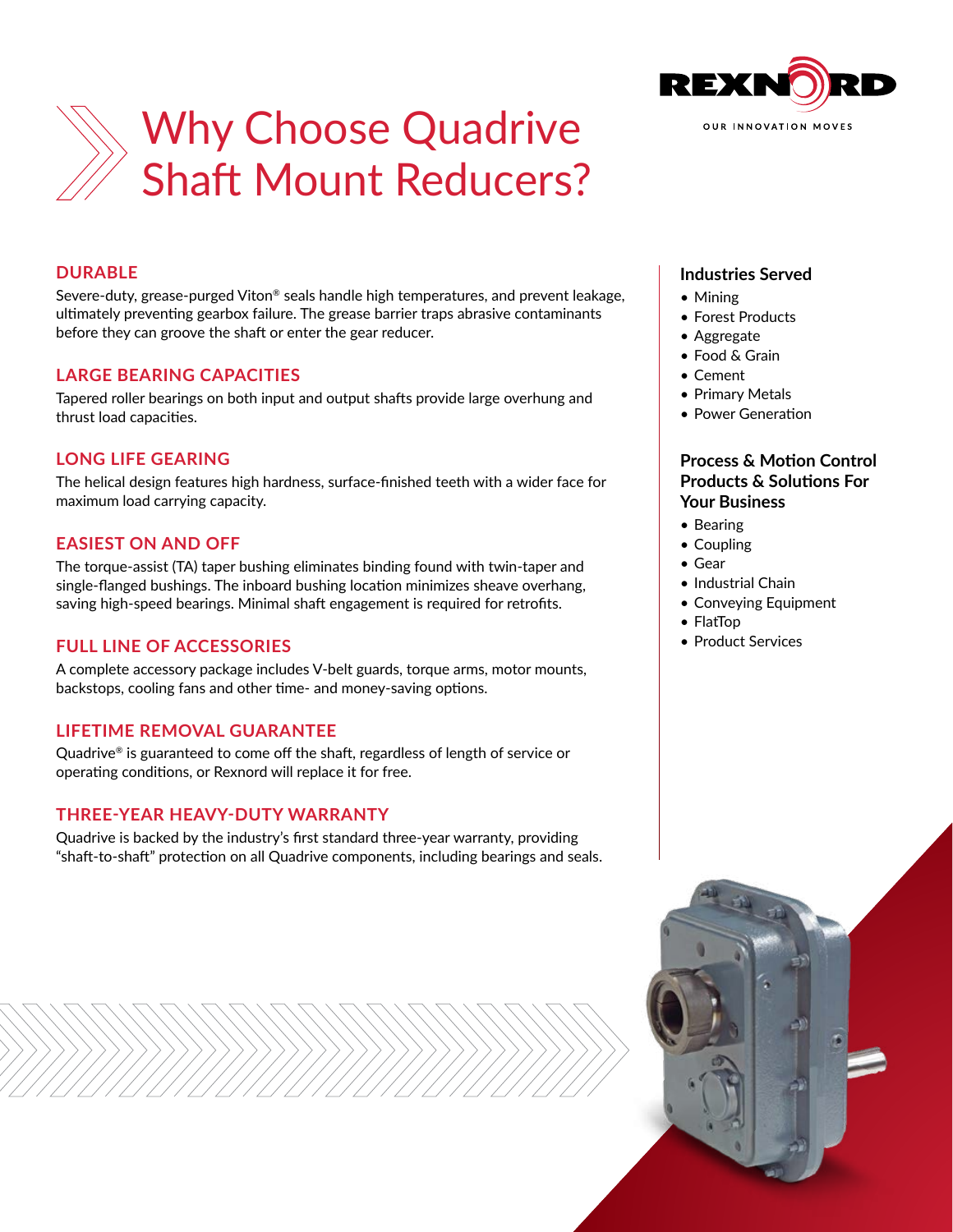



# **DURABLE**

Severe-duty, grease-purged Viton® seals handle high temperatures, and prevent leakage, ultimately preventing gearbox failure. The grease barrier traps abrasive contaminants before they can groove the shaft or enter the gear reducer.

### **LARGE BEARING CAPACITIES**

Tapered roller bearings on both input and output shafts provide large overhung and thrust load capacities.

# **LONG LIFE GEARING**

The helical design features high hardness, surface-finished teeth with a wider face for maximum load carrying capacity.

# **EASIEST ON AND OFF**

The torque-assist (TA) taper bushing eliminates binding found with twin-taper and single-flanged bushings. The inboard bushing location minimizes sheave overhang, saving high-speed bearings. Minimal shaft engagement is required for retrofits.

# **FULL LINE OF ACCESSORIES**

A complete accessory package includes V-belt guards, torque arms, motor mounts, backstops, cooling fans and other time- and money-saving options.

#### **LIFETIME REMOVAL GUARANTEE**

Quadrive® is guaranteed to come off the shaft, regardless of length of service or operating conditions, or Rexnord will replace it for free.

# **THREE-YEAR HEAVY-DUTY WARRANTY**

Quadrive is backed by the industry's first standard three-year warranty, providing "shaft-to-shaft" protection on all Quadrive components, including bearings and seals.

### **Industries Served**

- Mining
- Forest Products
- Aggregate
- Food & Grain
- Cement
- Primary Metals
- Power Generation

### **Process & Motion Control Products & Solutions For Your Business**

- Bearing
- Coupling
- Gear
- Industrial Chain
- Conveying Equipment
- FlatTop
- Product Services